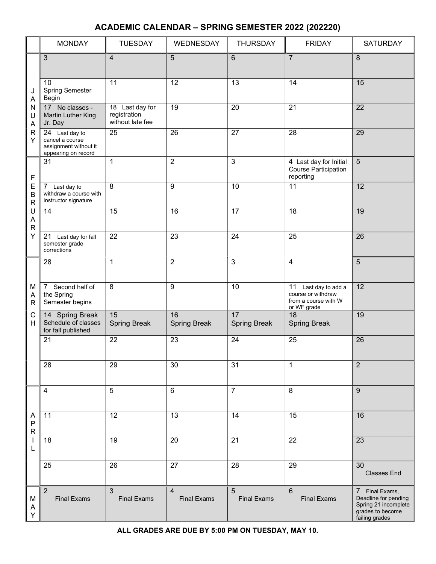## ACADEMIC CALENDAR – SPRING SEMESTER 2022 (202220)

|                                                                             | <b>MONDAY</b>                                                                     | <b>TUESDAY</b>                                         | WEDNESDAY                 | <b>THURSDAY</b>           | <b>FRIDAY</b>                                                                        | <b>SATURDAY</b>                                                                                      |
|-----------------------------------------------------------------------------|-----------------------------------------------------------------------------------|--------------------------------------------------------|---------------------------|---------------------------|--------------------------------------------------------------------------------------|------------------------------------------------------------------------------------------------------|
| J<br>A<br>N<br>U<br>A<br>R<br>Υ                                             | 3                                                                                 | $\overline{4}$                                         | 5                         | $6\phantom{1}$            | $\overline{7}$                                                                       | 8                                                                                                    |
|                                                                             | 10<br><b>Spring Semester</b><br>Begin                                             | 11                                                     | 12                        | 13                        | 14                                                                                   | 15                                                                                                   |
|                                                                             | 17 No classes -<br>Martin Luther King<br>Jr. Day                                  | Last day for<br>18<br>registration<br>without late fee | $\overline{19}$           | 20                        | 21                                                                                   | 22                                                                                                   |
|                                                                             | 24 Last day to<br>cancel a course<br>assignment without it<br>appearing on record | $\overline{25}$                                        | 26                        | 27                        | 28                                                                                   | 29                                                                                                   |
| $\mathsf F$<br>Ε<br>$\mathsf B$<br>$\mathsf{R}$<br>U<br>A<br>${\sf R}$<br>Y | 31                                                                                | $\mathbf 1$                                            | $\overline{2}$            | $\mathfrak{S}$            | 4 Last day for Initial<br><b>Course Participation</b><br>reporting                   | 5                                                                                                    |
|                                                                             | Last day to<br>7<br>withdraw a course with<br>instructor signature                | 8                                                      | 9                         | 10                        | 11                                                                                   | 12                                                                                                   |
|                                                                             | 14                                                                                | 15                                                     | 16                        | 17                        | 18                                                                                   | 19                                                                                                   |
|                                                                             | 21<br>Last day for fall<br>semester grade<br>corrections                          | 22                                                     | 23                        | 24                        | 25                                                                                   | 26                                                                                                   |
| M<br>A<br>$\mathsf{R}$<br>C<br>Н                                            | 28                                                                                | $\mathbf{1}$                                           | $\overline{2}$            | $\mathbf{3}$              | $\overline{4}$                                                                       | 5                                                                                                    |
|                                                                             | 7 Second half of<br>the Spring<br>Semester begins                                 | $\bf 8$                                                | 9                         | 10                        | 11<br>Last day to add a<br>course or withdraw<br>from a course with W<br>or WF grade | 12                                                                                                   |
|                                                                             | 14 Spring Break<br>Schedule of classes<br>for fall published                      | 15<br><b>Spring Break</b>                              | 16<br><b>Spring Break</b> | 17<br><b>Spring Break</b> | 18<br><b>Spring Break</b>                                                            | 19                                                                                                   |
|                                                                             | 21                                                                                | $\overline{22}$                                        | 23                        | 24                        | $\overline{25}$                                                                      | 26                                                                                                   |
|                                                                             | 28                                                                                | 29                                                     | 30                        | 31                        | 1                                                                                    | $\overline{2}$                                                                                       |
| A<br>$\mathsf{P}$<br>R<br>ı<br>L                                            | $\overline{4}$                                                                    | 5                                                      | $6\phantom{1}$            | $\overline{7}$            | 8                                                                                    | 9                                                                                                    |
|                                                                             | 11                                                                                | 12                                                     | 13                        | 14                        | 15                                                                                   | 16                                                                                                   |
|                                                                             | 18                                                                                | 19                                                     | 20                        | $\overline{21}$           | 22                                                                                   | 23                                                                                                   |
|                                                                             | 25                                                                                | 26                                                     | 27                        | 28                        | 29                                                                                   | 30<br><b>Classes End</b>                                                                             |
| M<br>A<br>Y                                                                 | $\overline{2}$<br><b>Final Exams</b>                                              | 3<br><b>Final Exams</b>                                | 4<br><b>Final Exams</b>   | 5<br><b>Final Exams</b>   | 6<br><b>Final Exams</b>                                                              | 7 Final Exams,<br>Deadline for pending<br>Spring 21 incomplete<br>grades to become<br>failing grades |

ALL GRADES ARE DUE BY 5:00 PM ON TUESDAY, MAY 10.